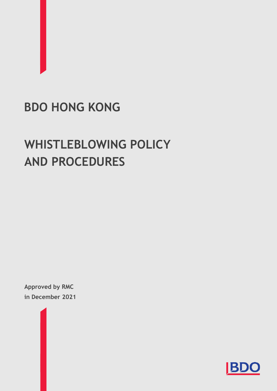# **BDO HONG KONG**

# **WHISTLEBLOWING POLICY AND PROCEDURES**

**Approved by RMC in December 2021**

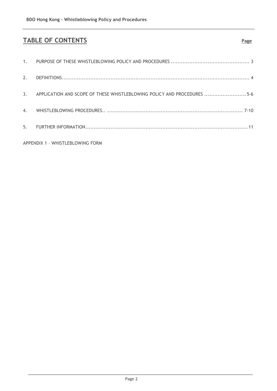# **TABLE OF CONTENTS Page**

|                                  | 3. APPLICATION AND SCOPE OF THESE WHISTLEBLOWING POLICY AND PROCEDURES 5-6 |  |  |  |
|----------------------------------|----------------------------------------------------------------------------|--|--|--|
|                                  |                                                                            |  |  |  |
|                                  |                                                                            |  |  |  |
| APPENDIX 1 - WHISTLEBLOWING FORM |                                                                            |  |  |  |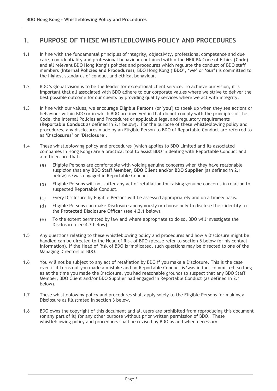# **1. PURPOSE OF THESE WHISTLEBLOWING POLICY AND PROCEDURES**

- 1.1 In line with the fundamental principles of integrity, objectivity, professional competence and due care, confidentiality and professional behaviour contained within the HKICPA Code of Ethics (**Code**) and all relevant BDO Hong Kong's policies and procedures which regulate the conduct of BDO staff members (**Internal Policies and Procedures**), BDO Hong Kong ('**BDO**', '**we**' or '**our**') is committed to the highest standards of conduct and ethical behaviour.
- 1.2 BDO's global vision is to be the leader for exceptional client service. To achieve our vision, it is important that all associated with BDO adhere to our corporate values where we strive to deliver the best possible outcome for our clients by providing quality services where we act with integrity.
- 1.3 In line with our values, we encourage **Eligible Persons** (or '**you**') to speak up when they see actions or behaviour within BDO or in which BDO are involved in that do not comply with the principles of the Code, the Internal Policies and Procedures or applicable legal and regulatory requirements (**Reportable Conduct** as defined in 2.1 below). For the purpose of these whistleblowing policy and procedures, any disclosures made by an Eligible Person to BDO of Reportable Conduct are referred to as '**Disclosures**' or '**Disclosure**'.
- 1.4 These whistleblowing policy and procedures (which applies to BDO Limited and its associated companies in Hong Kong) are a practical tool to assist BDO in dealing with Reportable Conduct and aim to ensure that:
	- $(a)$ Eligible Persons are comfortable with voicing genuine concerns when they have reasonable suspicion that any **BDO Staff Member, BDO Client and/or BDO Supplier** (as defined in 2.1 below) is/was engaged in Reportable Conduct.
	- $(b)$ Eligible Persons will not suffer any act of retaliation for raising genuine concerns in relation to suspected Reportable Conduct.
	- Every Disclosure by Eligible Persons will be assessed appropriately and on a timely basis.  $(C)$
	- Eligible Persons can make Disclosure anonymously or choose only to disclose their identity to  $(d)$ the **Protected Disclosure Officer** (see 4.2.1 below).
	- To the extent permitted by law and where appropriate to do so, BDO will investigate the  $(e)$ Disclosure (see 4.3 below).
- 1.5 Any questions relating to these whistleblowing policy and procedures and how a Disclosure might be handled can be directed to the Head of Risk of BDO (please refer to section 5 below for his contact information). If the Head of Risk of BDO is implicated, such questions may be directed to one of the Managing Directors of BDO.
- 1.6 You will not be subject to any act of retaliation by BDO if you make a Disclosure. This is the case even if it turns out you made a mistake and no Reportable Conduct is/was in fact committed, so long as at the time you made the Disclosure, you had reasonable grounds to suspect that any BDO Staff Member, BDO Client and/or BDO Supplier had engaged in Reportable Conduct (as defined in 2.1 below).
- 1.7 These whistleblowing policy and procedures shall apply solely to the Eligible Persons for making a Disclosure as illustrated in section 3 below.
- 1.8 BDO owns the copyright of this document and all users are prohibited from reproducing this document (or any part of it) for any other purpose without prior written permission of BDO. These whistleblowing policy and procedures shall be revised by BDO as and when necessary.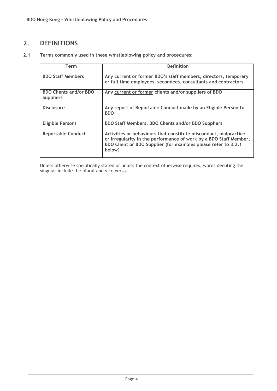# **2. DEFINITIONS**

**2.1 Terms commonly used in these whistleblowing policy and procedures:**

| Term                                              | <b>Definition</b>                                                                                                                                                                                                 |  |  |  |  |
|---------------------------------------------------|-------------------------------------------------------------------------------------------------------------------------------------------------------------------------------------------------------------------|--|--|--|--|
| <b>BDO Staff Members</b>                          | Any current or former BDO's staff members, directors, temporary<br>or full-time employees, secondees, consultants and contractors                                                                                 |  |  |  |  |
| <b>BDO Clients and/or BDO</b><br><b>Suppliers</b> | Any current or former clients and/or suppliers of BDO                                                                                                                                                             |  |  |  |  |
| <b>Disclosure</b>                                 | Any report of Reportable Conduct made by an Eligible Person to<br><b>BDO</b>                                                                                                                                      |  |  |  |  |
| <b>Eligible Persons</b>                           | <b>BDO Staff Members, BDO Clients and/or BDO Suppliers</b>                                                                                                                                                        |  |  |  |  |
| <b>Reportable Conduct</b>                         | Activities or behaviours that constitute misconduct, malpractice<br>or irregularity in the performance of work by a BDO Staff Member,<br>BDO Client or BDO Supplier (for examples please refer to 3.2.1<br>below) |  |  |  |  |

Unless otherwise specifically stated or unless the context otherwise requires, words denoting the singular include the plural and vice versa.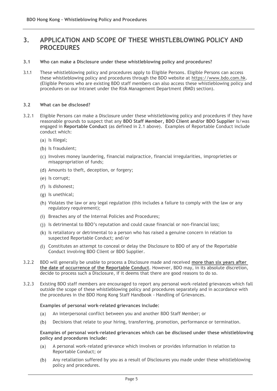# **3. APPLICATION AND SCOPE OF THESE WHISTLEBLOWING POLICY AND PROCEDURES**

### **3.1 Who can make a Disclosure under these whistleblowing policy and procedures?**

3.1.1 These whistleblowing policy and procedures apply to Eligible Persons. Eligible Persons can access these whistleblowing policy and procedures through the BDO website at https://www.bdo.com.hk. (Eligible Persons who are existing BDO staff members can also access these whistleblowing policy and procedures on our Intranet under the Risk Management Department (RMD) section).

#### **3.2 What can be disclosed?**

- 3.2.1 Eligible Persons can make a Disclosure under these whistleblowing policy and procedures if they have reasonable grounds to suspect that any **BDO Staff Member, BDO Client and/or BDO Supplier** is/was engaged in **Reportable Conduct** (as defined in 2.1 above). Examples of Reportable Conduct include conduct which:
	- (a) Is illegal;
	- (b) Is fraudulent;
	- Involves money laundering, financial malpractice, financial irregularities, improprieties or misappropriation of funds;
	- (d) Amounts to theft, deception, or forgery;
	- (e) Is corrupt;
	- (f) Is dishonest;
	- (g) Is unethical;
	- Violates the law or any legal regulation (this includes a failure to comply with the law or any regulatory requirement);
	- (i) Breaches any of the Internal Policies and Procedures;
	- (j) Is detrimental to BDO's reputation and could cause financial or non-financial loss;
	- (k) Is retaliatory or detrimental to a person who has raised a genuine concern in relation to suspected Reportable Conduct; and/or
	- Constitutes an attempt to conceal or delay the Disclosure to BDO of any of the Reportable Conduct involving BDO Client or BDO Supplier.
- 3.2.2 BDO will generally be unable to process a Disclosure made and received **more than six years after the date of occurrence of the Reportable Conduct**. However, BDO may, in its absolute discretion, decide to process such a Disclosure, if it deems that there are good reasons to do so.
- 3.2.3 Existing BDO staff members are encouraged to report any personal work-related grievances which fall outside the scope of these whistleblowing policy and procedures separately and in accordance with the procedures in the BDO Hong Kong Staff Handbook - Handling of Grievances.

#### **Examples of personal work-related grievances include:**

- $(a)$ An interpersonal conflict between you and another BDO Staff Member; or
- $(b)$ Decisions that relate to your hiring, transferring, promotion, performance or termination.

**Examples of personal work-related grievances which can be disclosed under these whistleblowing policy and procedures include:**

- A personal work-related grievance which involves or provides information in relation to  $(a)$ Reportable Conduct; or
- Any retaliation suffered by you as a result of Disclosures you made under these whistleblowing  $(b)$ policy and procedures.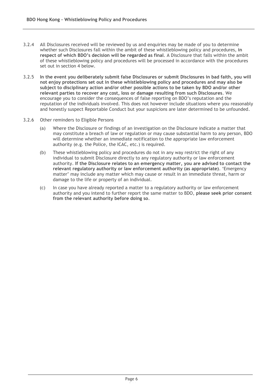- 3.2.4 All Disclosures received will be reviewed by us and enquiries may be made of you to determine whether such Disclosures fall within the ambit of these whistleblowing policy and procedures, **in respect of which BDO's decision will be regarded as final**. A Disclosure that falls within the ambit of these whistleblowing policy and procedures will be processed in accordance with the procedures set out in section 4 below.
- 3.2.5 **In the event you deliberately submit false Disclosures or submit Disclosures in bad faith, you will not enjoy protections set out in these whistleblowing policy and procedures and may also be subject to disciplinary action and/or other possible actions to be taken by BDO and/or other relevant parties to recover any cost, loss or damage resulting from such Disclosures**. We encourage you to consider the consequences of false reporting on BDO's reputation and the reputation of the individuals involved. This does not however include situations where you reasonably and honestly suspect Reportable Conduct but your suspicions are later determined to be unfounded.
- 3.2.6 Other reminders to Eligible Persons
	- (a) Where the Disclosure or findings of an investigation on the Disclosure indicate a matter that may constitute a breach of law or regulation or may cause substantial harm to any person, BDO will determine whether an immediate notification to the appropriate law enforcement authority (e.g. the Police, the ICAC, etc.) is required.
	- (b) These whistleblowing policy and procedures do not in any way restrict the right of any individual to submit Disclosure directly to any regulatory authority or law enforcement authority. **If the Disclosure relates to an emergency matter, you are advised to contact the relevant regulatory authority or law enforcement authority (as appropriate)**. 'Emergency matter' may include any matter which may cause or result in an immediate threat, harm or damage to the life or property of an individual.
	- (c) In case you have already reported a matter to a regulatory authority or law enforcement authority and you intend to further report the same matter to BDO, **please seek prior consent from the relevant authority before doing so**.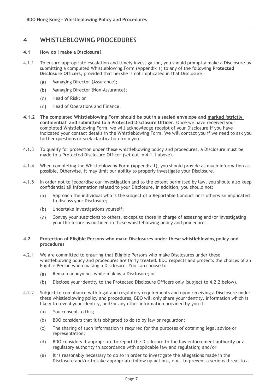# **4 WHISTLEBLOWING PROCEDURES**

#### **4.1 How do I make a Disclosure?**

- 4.1.1 To ensure appropriate escalation and timely investigation, you should promptly make a Disclosure by submitting a completed Whistleblowing Form (Appendix 1) to any of the following **Protected Disclosure Officers**, provided that he/she is not implicated in that Disclosure:
	- $(a)$ Managing Director (Assurance);
	- $(b)$ Managing Director (Non-Assurance);
	- $(C)$ Head of Risk; or
	- Head of Operations and Finance.  $(d)$
- **4.1.2 The completed Whistleblowing Form should be put in a sealed envelope and marked 'strictly confidential' and submitted to a Protected Disclosure Officer.** Once we have received your completed Whistleblowing Form, we will acknowledge receipt of your Disclosure if you have indicated your contact details in the Whistleblowing Form. We will contact you if we need to ask you further questions or seek clarification from you.
- 4.1.3 To qualify for protection under these whistleblowing policy and procedures, a Disclosure must be made to a Protected Disclosure Officer (set out in 4.1.1 above).
- 4.1.4 When completing the Whistleblowing Form (Appendix 1), you should provide as much information as possible. Otherwise, it may limit our ability to properly investigate your Disclosure.
- 4.1.5 In order not to jeopardise our investigation and to the extent permitted by law, you should also keep confidential all information related to your Disclosure. In addition, you should not:
	- $(a)$ Approach the individual who is the subject of a Reportable Conduct or is otherwise implicated to discuss your Disclosure;
	- Undertake investigations yourself;  $(b)$
	- $(C)$ Convey your suspicions to others, except to those in charge of assessing and/or investigating your Disclosure as outlined in these whistleblowing policy and procedures.

#### **4.2 Protection of Eligible Persons who make Disclosures under these whistleblowing policy and procedures**

- 4.2.1 We are committed to ensuring that Eligible Persons who make Disclosures under these whistleblowing policy and procedures are fairly treated. BDO respects and protects the choices of an Eligible Person when making a Disclosure. You can choose to:
	- $(a)$ Remain anonymous while making a Disclosure; or
	- $(b)$ Disclose your identity to the Protected Disclosure Officers only (subject to 4.2.2 below).
- 4.2.2 Subject to compliance with legal and regulatory requirements and upon receiving a Disclosure under these whistleblowing policy and procedures, BDO will only share your identity, information which is likely to reveal your identity, and/or any other information provided by you if:
	- (a) You consent to this;
	- (b) BDO considers that it is obligated to do so by law or regulation;
	- (c) The sharing of such information is required for the purposes of obtaining legal advice or representation;
	- (d) BDO considers it appropriate to report the Disclosure to the law enforcement authority or a regulatory authority in accordance with applicable law and regulation; and/or
	- (e) It is reasonably necessary to do so in order to investigate the allegations made in the Disclosure and/or to take appropriate follow up actions, e.g., to prevent a serious threat to a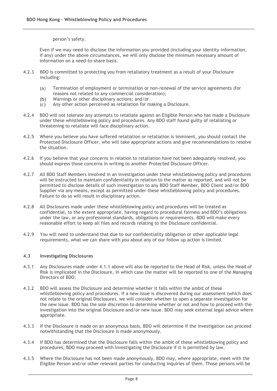person's safety.

Even if we may need to disclose the information you provided (including your identity information, if any) under the above circumstances, we will only disclose the minimum necessary amount of information on a need-to-share basis.

- 4.2.3 BDO is committed to protecting you from retaliatory treatment as a result of your Disclosure including:
	- $(a)$ Termination of employment or termination or non-renewal of the service agreements (for reasons not related to any commercial consideration);
	- $(b)$ Warnings or other disciplinary actions; and/or
	- Any other action perceived as retaliation for making a Disclosure.  $(c)$
- 4.2.4 BDO will not tolerate any attempts to retaliate against an Eligible Person who has made a Disclosure under these whistleblowing policy and procedures. Any BDO staff found guilty of retaliating or threatening to retaliate will face disciplinary action.
- 4.2.5 Where you believe you have suffered retaliation or retaliation is imminent, you should contact the Protected Disclosure Officer, who will take appropriate actions and give recommendations to resolve the situation.
- 4.2.6 If you believe that your concerns in relation to retaliation have not been adequately resolved, you should express those concerns in writing to another Protected Disclosure Officer.
- 4.2.7 All BDO Staff Members involved in an investigation under these whistleblowing policy and procedures will be instructed to maintain confidentiality in relation to the matter as reported, and will not be permitted to disclose details of such investigation to any BDO Staff Member, BDO Client and/or BDO Supplier via any means, except as permitted under these whistleblowing policy and procedures. Failure to do so will result in disciplinary action.
- 4.2.8 All Disclosures made under these whistleblowing policy and procedures will be treated as confidential, to the extent appropriate, having regard to procedural fairness and BDO's obligations under the law, or any professional standards, obligations or requirements. BDO will make every reasonable effort to keep all files and records relating to the Disclosure confidential.
- 4.2.9 You will need to understand that due to our confidentiality obligation or other applicable legal requirements, what we can share with you about any of our follow up action is limited.

### **4.3 Investigating Disclosures**

- 4.3.1 Any Disclosures made under 4.1.1 above will also be reported to the Head of Risk, unless the Head of Risk is implicated in the Disclosure, in which case the matter will be reported to one of the Managing Directors of BDO.
- 4.3.2 BDO will assess the Disclosure and determine whether it falls within the ambit of these whistleblowing policy and procedures. If a new issue is discovered during our assessment (which does not relate to the original Disclosure), we will consider whether to open a separate investigation for the new issue. BDO has the sole discretion to determine whether or not and how to proceed with the investigation into the original Disclosure and/or new issue. BDO may seek external legal advice where appropriate.
- 4.3.3 If the Disclosure is made on an anonymous basis, BDO will determine if the investigation can proceed notwithstanding that the Disclosure is made anonymously.
- 4.3.4 If BDO has determined that the Disclosure falls within the ambit of these whistleblowing policy and procedures, BDO may proceed with investigating the Disclosure if it is permitted by law.
- 4.3.5 Where the Disclosure has not been made anonymously, BDO may, where appropriate, meet with the Eligible Person and/or other relevant parties for conducting inquiries of them. Those persons will be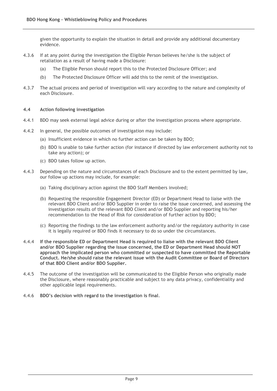given the opportunity to explain the situation in detail and provide any additional documentary evidence.

- 4.3.6 If at any point during the investigation the Eligible Person believes he/she is the subject of retaliation as a result of having made a Disclosure:
	- (a) The Eligible Person should report this to the Protected Disclosure Officer; and
	- (b) The Protected Disclosure Officer will add this to the remit of the investigation.
- 4.3.7 The actual process and period of investigation will vary according to the nature and complexity of each Disclosure.

#### **4.4 Action following investigation**

- 4.4.1 BDO may seek external legal advice during or after the investigation process where appropriate.
- 4.4.2 In general, the possible outcomes of investigation may include:
	- (a) Insufficient evidence in which no further action can be taken by BDO;
	- (b) BDO is unable to take further action (for instance if directed by law enforcement authority not to take any action); or
	- (c) BDO takes follow up action.
- 4.4.3 Depending on the nature and circumstances of each Disclosure and to the extent permitted by law, our follow up actions may include, for example:
	- (a) Taking disciplinary action against the BDO Staff Members involved;
	- (b) Requesting the responsible Engagement Director (ED) or Department Head to liaise with the relevant BDO Client and/or BDO Supplier in order to raise the issue concerned, and assessing the investigation results of the relevant BDO Client and/or BDO Supplier and reporting his/her recommendation to the Head of Risk for consideration of further action by BDO;
	- (c) Reporting the findings to the law enforcement authority and/or the regulatory authority in case it is legally required or BDO finds it necessary to do so under the circumstances.
- 4.4.4 **If the responsible ED or Department Head is required to liaise with the relevant BDO Client and/or BDO Supplier regarding the issue concerned, the ED or Department Head should NOT approach the implicated person who committed or suspected to have committed the Reportable Conduct. He/she should raise the relevant issue with the Audit Committee or Board of Directors of that BDO Client and/or BDO Supplier.**
- 4.4.5 The outcome of the investigation will be communicated to the Eligible Person who originally made the Disclosure, where reasonably practicable and subject to any data privacy, confidentiality and other applicable legal requirements.
- 4.4.6 **BDO's decision with regard to the investigation is final**.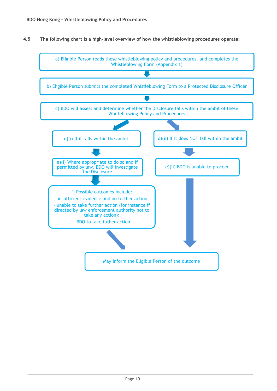**4.5 The following chart is a high-level overview of how the whistleblowing procedures operate:**

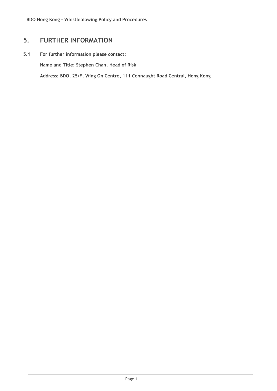# **5. FURTHER INFORMATION**

## **5.1 For further information please contact:**

**Name and Title: Stephen Chan, Head of Risk**

**Address: BDO, 25/F, Wing On Centre, 111 Connaught Road Central, Hong Kong**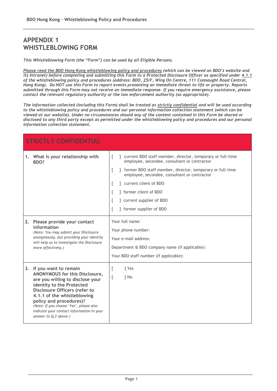# **APPENDIX 1 WHISTLEBLOWING FORM**

*This Whistleblowing Form (the "Form") can be used by all Eligible Persons.*

*Please read the BDO Hong Kong whistleblowing policy and procedures (which can be viewed on BDO's website and its Intranet) before completing and submitting this Form to a Protected Disclosure Officer as specified under 4.1.1 of the whistleblowing policy and procedures (address: BDO, 25/F, Wing On Centre, 111 Connaught Road Central, Hong Kong). Do NOT use this Form to report events presenting an immediate threat to life or property. Reports submitted through this Form may not receive an immediate response. If you require emergency assistance, please contact the relevant regulatory authority or the law enforcement authority (as appropriate).* 

*The information collected (including this Form) shall be treated as strictly confidential and will be used according to the whistleblowing policy and procedures and our personal information collection statement (which can be viewed at our website). Under no circumstances should any of the content contained in this Form be shared or disclosed to any third party except as permitted under the whistleblowing policy and procedures and our personal information collection statement.*

| <b>STRICTLY CONFIDENTIAL</b>                                                                                                                                                                                                                                                                                                               |                                                                                                                                                                                                                                                                                                                                                        |  |  |  |  |  |  |  |
|--------------------------------------------------------------------------------------------------------------------------------------------------------------------------------------------------------------------------------------------------------------------------------------------------------------------------------------------|--------------------------------------------------------------------------------------------------------------------------------------------------------------------------------------------------------------------------------------------------------------------------------------------------------------------------------------------------------|--|--|--|--|--|--|--|
| 1. What is your relationship with<br>BDO?                                                                                                                                                                                                                                                                                                  | ] current BDO staff member, director, temporary or full-time<br>L<br>employee, secondee, consultant or contractor<br>] former BDO staff member, director, temporary or full-time<br>L<br>employee, secondee, consultant or contractor<br>current client of BDO<br>1 former client of BDO<br>] current supplier of BDO<br>L<br>] former supplier of BDO |  |  |  |  |  |  |  |
| 2. Please provide your contact<br>information<br>(Note: You may submit your Disclosure<br>anonymously, but providing your identity<br>will help us to investigate the Disclosure<br>more effectively.)                                                                                                                                     | Your full name:<br>Your phone number:<br>Your e-mail address:<br>Department & BDO company name (if applicable):<br>Your BDO staff number (if applicable):                                                                                                                                                                                              |  |  |  |  |  |  |  |
| 3.<br>If you want to remain<br>ANONYMOUS for this Disclosure,<br>are you willing to disclose your<br>identity to the Protected<br>Disclosure Officers (refer to<br>4.1.1 of the whistleblowing<br>policy and procedures)?<br>(Note: If you choose 'Yes', please also<br>indicate your contact information in your<br>answer to Q.2 above.) | L<br>1 Yes<br>1 No<br>L                                                                                                                                                                                                                                                                                                                                |  |  |  |  |  |  |  |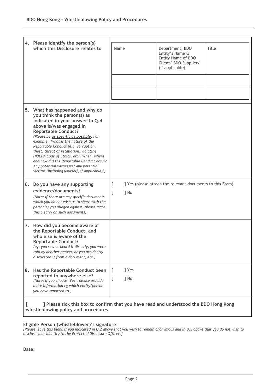|  | 4. Please identify the person(s)<br>which this Disclosure relates to                                                                                                                                                                                                                                                                                                                                                                                                                                              |                                                                             |  |                                                                                                      |       |  |
|--|-------------------------------------------------------------------------------------------------------------------------------------------------------------------------------------------------------------------------------------------------------------------------------------------------------------------------------------------------------------------------------------------------------------------------------------------------------------------------------------------------------------------|-----------------------------------------------------------------------------|--|------------------------------------------------------------------------------------------------------|-------|--|
|  |                                                                                                                                                                                                                                                                                                                                                                                                                                                                                                                   | Name                                                                        |  | Department, BDO<br>Entity's Name &<br>Entity Name of BDO<br>Client/ BDO Supplier/<br>(if applicable) | Title |  |
|  | 5. What has happened and why do<br>you think the person(s) as<br>indicated in your answer to Q.4<br>above is/was engaged in<br><b>Reportable Conduct?</b><br>(Please be as specific as possible. For<br>example: What is the nature of the<br>Reportable Conduct (e.g. corruption,<br>theft, threat of retaliation, violating<br>HKICPA Code of Ethics, etc)? When, where<br>and how did the Reportable Conduct occur?<br>Any potential witnesses? Any potential<br>victims (including yourself, if applicable)?) |                                                                             |  |                                                                                                      |       |  |
|  | 6. Do you have any supporting<br>evidence/documents?<br>(Note: If there are any specific documents<br>which you do not wish us to share with the<br>person(s) you alleged against, please mark<br>this clearly on such documents)                                                                                                                                                                                                                                                                                 | ] Yes (please attach the relevant documents to this Form)<br>L<br>] No<br>L |  |                                                                                                      |       |  |
|  | 7. How did you become aware of<br>the Reportable Conduct, and<br>who else is aware of the<br><b>Reportable Conduct?</b><br>(eg: you saw or heard it directly, you were<br>told by another person, or you accidently<br>discovered it from a document, etc.)                                                                                                                                                                                                                                                       |                                                                             |  |                                                                                                      |       |  |
|  | 8. Has the Reportable Conduct been<br>reported to anywhere else?<br>(Note: If you choose 'Yes', please provide<br>more information eg which entity/person<br>you have reported to.)                                                                                                                                                                                                                                                                                                                               | ] Yes<br>] No                                                               |  |                                                                                                      |       |  |
|  | ] Please tick this box to confirm that you have read and understood the BDO Hong Kong                                                                                                                                                                                                                                                                                                                                                                                                                             |                                                                             |  |                                                                                                      |       |  |

**whistleblowing policy and procedures**

#### **Eligible Person (whistleblower)'s signature:**

*[Please leave this blank if you indicated in Q.2 above that you wish to remain anonymous and in Q.3 above that you do not wish to disclose your identity to the Protected Disclosure Officers]*

**Date:**